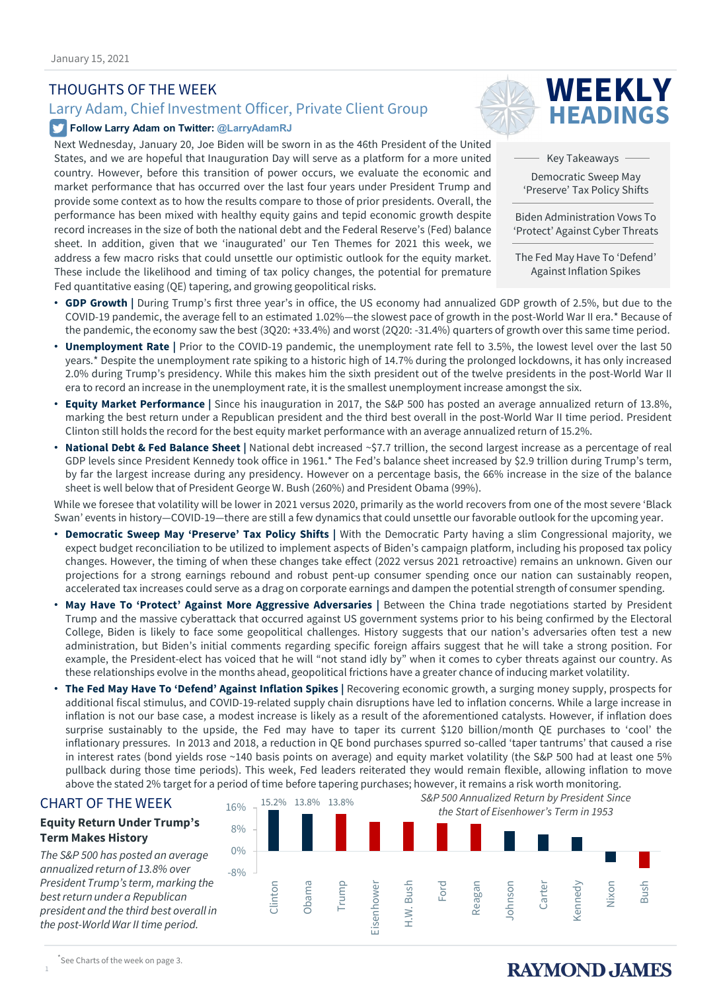### THOUGHTS OF THE WEEK

## Larry Adam, Chief Investment Officer, Private Client Group

### **Follow Larry Adam on Twitter: @LarryAdamRJ**

Next Wednesday, January 20, Joe Biden will be sworn in as the 46th President of the United States, and we are hopeful that Inauguration Day will serve as a platform for a more united country. However, before this transition of power occurs, we evaluate the economic and market performance that has occurred over the last four years under President Trump and provide some context as to how the results compare to those of prior presidents. Overall, the performance has been mixed with healthy equity gains and tepid economic growth despite record increases in the size of both the national debt and the Federal Reserve's (Fed) balance sheet. In addition, given that we 'inaugurated' our Ten Themes for 2021 this week, we address a few macro risks that could unsettle our optimistic outlook for the equity market. These include the likelihood and timing of tax policy changes, the potential for premature Fed quantitative easing (QE) tapering, and growing geopolitical risks.



Key Takeaways

Democratic Sweep May 'Preserve' Tax Policy Shifts

Biden Administration Vows To 'Protect' Against Cyber Threats

The Fed May Have To 'Defend' Against Inflation Spikes

- **GDP Growth |** During Trump's first three year's in office, the US economy had annualized GDP growth of 2.5%, but due to the COVID-19 pandemic, the average fell to an estimated 1.02%—the slowest pace of growth in the post-World War II era.\* Because of the pandemic, the economy saw the best (3Q20: +33.4%) and worst (2Q20: -31.4%) quarters of growth over this same time period.
- Unemployment Rate | Prior to the COVID-19 pandemic, the unemployment rate fell to 3.5%, the lowest level over the last 50 years.\* Despite the unemployment rate spiking to a historic high of 14.7% during the prolonged lockdowns, it has only increased 2.0% during Trump's presidency. While this makes him the sixth president out of the twelve presidents in the post-World War II era to record an increase in the unemployment rate, it is the smallest unemployment increase amongst the six.
- **Equity Market Performance |** Since his inauguration in 2017, the S&P 500 has posted an average annualized return of 13.8%, marking the best return under a Republican president and the third best overall in the post-World War II time period. President Clinton still holds the record for the best equity market performance with an average annualized return of 15.2%.
- **National Debt & Fed Balance Sheet |** National debt increased ~\$7.7 trillion, the second largest increase as a percentage of real GDP levels since President Kennedy took office in 1961.\* The Fed's balance sheet increased by \$2.9 trillion during Trump's term, by far the largest increase during any presidency. However on a percentage basis, the 66% increase in the size of the balance sheet is well below that of President George W. Bush (260%) and President Obama (99%).

While we foresee that volatility will be lower in 2021 versus 2020, primarily as the world recovers from one of the most severe 'Black Swan' events in history—COVID-19—there are still a few dynamics that could unsettle our favorable outlook for the upcoming year.

- **Democratic Sweep May 'Preserve' Tax Policy Shifts |** With the Democratic Party having a slim Congressional majority, we expect budget reconciliation to be utilized to implement aspects of Biden's campaign platform, including his proposed tax policy changes. However, the timing of when these changes take effect (2022 versus 2021 retroactive) remains an unknown. Given our projections for a strong earnings rebound and robust pent-up consumer spending once our nation can sustainably reopen, accelerated tax increases could serve as a drag on corporate earnings and dampen the potential strength of consumer spending.
- **May Have To 'Protect' Against More Aggressive Adversaries |** Between the China trade negotiations started by President Trump and the massive cyberattack that occurred against US government systems prior to his being confirmed by the Electoral College, Biden is likely to face some geopolitical challenges. History suggests that our nation's adversaries often test a new administration, but Biden's initial comments regarding specific foreign affairs suggest that he will take a strong position. For example, the President-elect has voiced that he will "not stand idly by" when it comes to cyber threats against our country. As these relationships evolve in the months ahead, geopolitical frictions have a greater chance of inducing market volatility.
- **The Fed May Have To 'Defend' Against Inflation Spikes |** Recovering economic growth, a surging money supply, prospects for additional fiscal stimulus, and COVID-19-related supply chain disruptions have led to inflation concerns. While a large increase in inflation is not our base case, a modest increase is likely as a result of the aforementioned catalysts. However, if inflation does surprise sustainably to the upside, the Fed may have to taper its current \$120 billion/month QE purchases to 'cool' the inflationary pressures. In 2013 and 2018, a reduction in QE bond purchases spurred so-called 'taper tantrums' that caused a rise in interest rates (bond yields rose ~140 basis points on average) and equity market volatility (the S&P 500 had at least one 5% pullback during those time periods). This week, Fed leaders reiterated they would remain flexible, allowing inflation to move above the stated 2% target for a period of time before tapering purchases; however, it remains a risk worth monitoring.

### CHART OF THE WEEK

### **Equity Return Under Trump's Term Makes History**

*The S&P 500 has posted an average annualized return of 13.8% over President Trump's term, marking the best return under a Republican president and the third best overall in the post-World War II time period.* 



1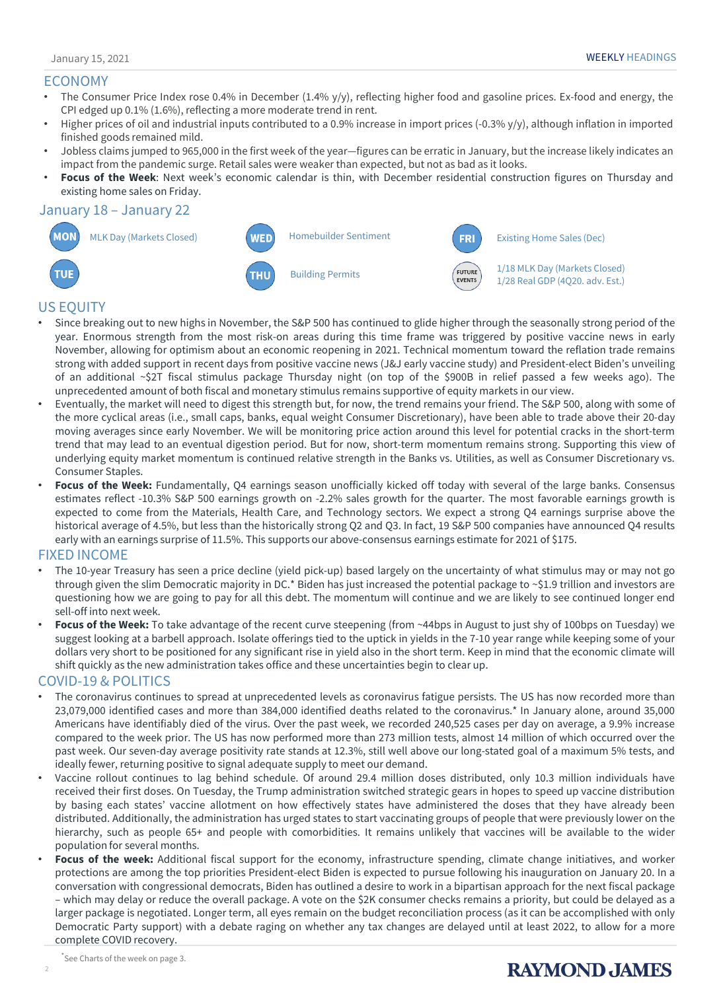### ECONOMY

- The Consumer Price Index rose 0.4% in December (1.4% y/y), reflecting higher food and gasoline prices. Ex-food and energy, the CPI edged up 0.1% (1.6%), reflecting a more moderate trend in rent.
- Higher prices of oil and industrial inputs contributed to a 0.9% increase in import prices (-0.3% y/y), although inflation in imported finished goods remained mild.
- Jobless claims jumped to 965,000 in the first week of the year—figures can be erratic in January, but the increase likely indicates an impact from the pandemic surge. Retail sales were weaker than expected, but not as bad as it looks.
- **Focus of the Week**: Next week's economic calendar is thin, with December residential construction figures on Thursday and existing home sales on Friday.

### January 18 – January 22



### US EQUITY

- Since breaking out to new highs in November, the S&P 500 has continued to glide higher through the seasonally strong period of the year. Enormous strength from the most risk-on areas during this time frame was triggered by positive vaccine news in early November, allowing for optimism about an economic reopening in 2021. Technical momentum toward the reflation trade remains strong with added support in recent days from positive vaccine news (J&J early vaccine study) and President-elect Biden's unveiling of an additional ~\$2T fiscal stimulus package Thursday night (on top of the \$900B in relief passed a few weeks ago). The unprecedented amount of both fiscal and monetary stimulus remains supportive of equity markets in our view.
- Eventually, the market will need to digest this strength but, for now, the trend remains your friend. The S&P 500, along with some of the more cyclical areas (i.e., small caps, banks, equal weight Consumer Discretionary), have been able to trade above their 20-day moving averages since early November. We will be monitoring price action around this level for potential cracks in the short-term trend that may lead to an eventual digestion period. But for now, short-term momentum remains strong. Supporting this view of underlying equity market momentum is continued relative strength in the Banks vs. Utilities, as well as Consumer Discretionary vs. Consumer Staples.
- **Focus of the Week:** Fundamentally, Q4 earnings season unofficially kicked off today with several of the large banks. Consensus estimates reflect -10.3% S&P 500 earnings growth on -2.2% sales growth for the quarter. The most favorable earnings growth is expected to come from the Materials, Health Care, and Technology sectors. We expect a strong Q4 earnings surprise above the historical average of 4.5%, but less than the historically strong Q2 and Q3. In fact, 19 S&P 500 companies have announced Q4 results early with an earnings surprise of 11.5%. This supports our above-consensus earnings estimate for 2021 of \$175.

### FIXED INCOME

- The 10-year Treasury has seen a price decline (yield pick-up) based largely on the uncertainty of what stimulus may or may not go through given the slim Democratic majority in DC.\* Biden has just increased the potential package to ~\$1.9 trillion and investors are questioning how we are going to pay for all this debt. The momentum will continue and we are likely to see continued longer end sell-off into next week.
- **Focus of the Week:** To take advantage of the recent curve steepening (from ~44bps in August to just shy of 100bps on Tuesday) we suggest looking at a barbell approach. Isolate offerings tied to the uptick in yields in the 7-10 year range while keeping some of your dollars very short to be positioned for any significant rise in yield also in the short term. Keep in mind that the economic climate will shift quickly as the new administration takes office and these uncertainties begin to clear up.

### COVID-19 & POLITICS

- The coronavirus continues to spread at unprecedented levels as coronavirus fatigue persists. The US has now recorded more than 23,079,000 identified cases and more than 384,000 identified deaths related to the coronavirus.\* In January alone, around 35,000 Americans have identifiably died of the virus. Over the past week, we recorded 240,525 cases per day on average, a 9.9% increase compared to the week prior. The US has now performed more than 273 million tests, almost 14 million of which occurred over the past week. Our seven-day average positivity rate stands at 12.3%, still well above our long-stated goal of a maximum 5% tests, and ideally fewer, returning positive to signal adequate supply to meet our demand.
- Vaccine rollout continues to lag behind schedule. Of around 29.4 million doses distributed, only 10.3 million individuals have received their first doses. On Tuesday, the Trump administration switched strategic gears in hopes to speed up vaccine distribution by basing each states' vaccine allotment on how effectively states have administered the doses that they have already been distributed. Additionally, the administration has urged states to start vaccinating groups of people that were previously lower on the hierarchy, such as people 65+ and people with comorbidities. It remains unlikely that vaccines will be available to the wider population for several months.
- **Focus of the week:** Additional fiscal support for the economy, infrastructure spending, climate change initiatives, and worker protections are among the top priorities President-elect Biden is expected to pursue following his inauguration on January 20. In a conversation with congressional democrats, Biden has outlined a desire to work in a bipartisan approach for the next fiscal package – which may delay or reduce the overall package. A vote on the \$2K consumer checks remains a priority, but could be delayed as a larger package is negotiated. Longer term, all eyes remain on the budget reconciliation process (as it can be accomplished with only Democratic Party support) with a debate raging on whether any tax changes are delayed until at least 2022, to allow for a more complete COVID recovery.

2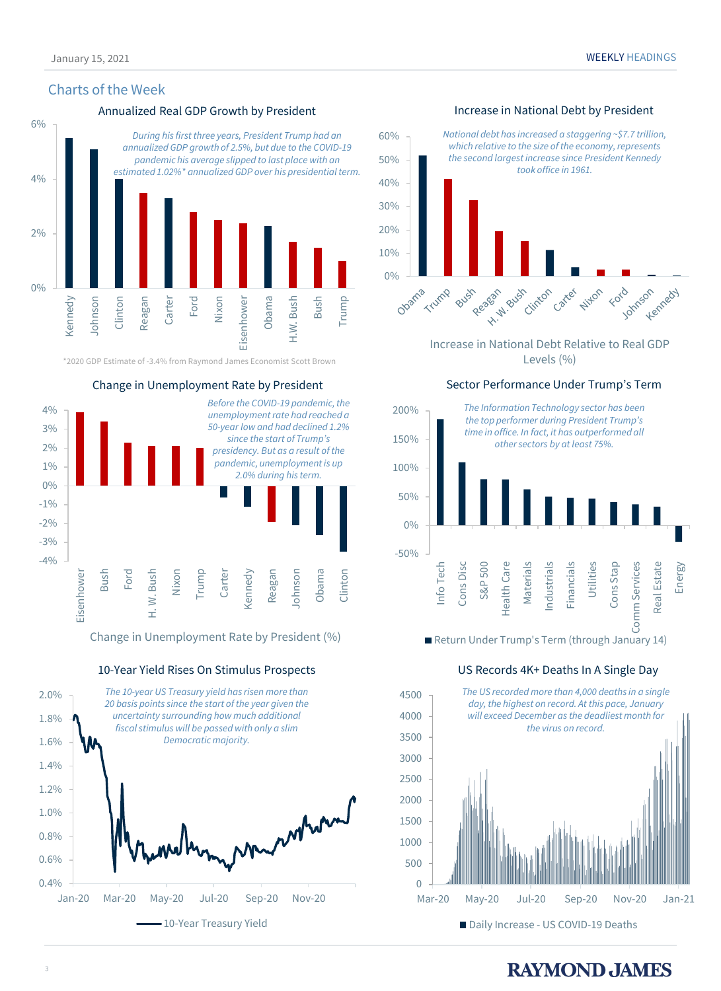### Charts of the Week

### Annualized Real GDP Growth by President **Increase in National Debt by President**



\*2020 GDP Estimate of -3.4% from Raymond James Economist Scott Brown



Change in Unemployment Rate by President (%)

10-Year Yield Rises On Stimulus Prospects





Increase in National Debt Relative to Real GDP Levels (%)

### Sector Performance Under Trump's Term



Return Under Trump's Term (through January 14)

### US Records 4K+ Deaths In A Single Day

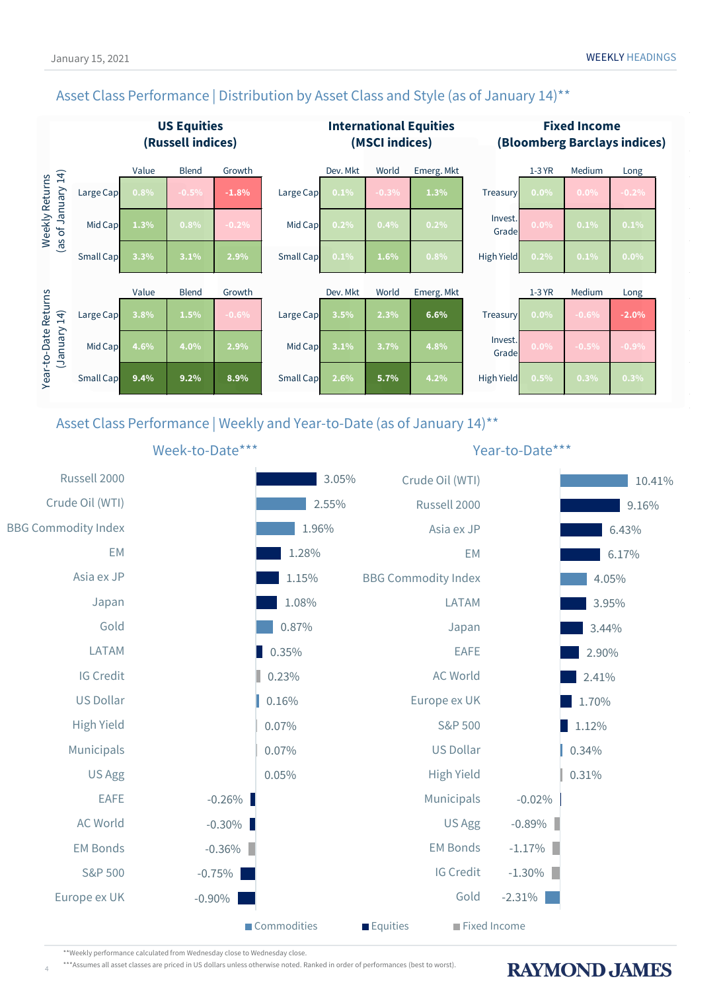## Asset Class Performance | Distribution by Asset Class and Style (as of January 14)<sup>\*\*</sup>



Asset Class Performance | Weekly and Year-to-Date (as of January 14)\*\*



\*\*Weekly performance calculated from Wednesday close to Wednesday close.

4

\*\*\*Assumes all asset classes are priced in US dollars unless otherwise noted. Ranked in order of performances (best to worst).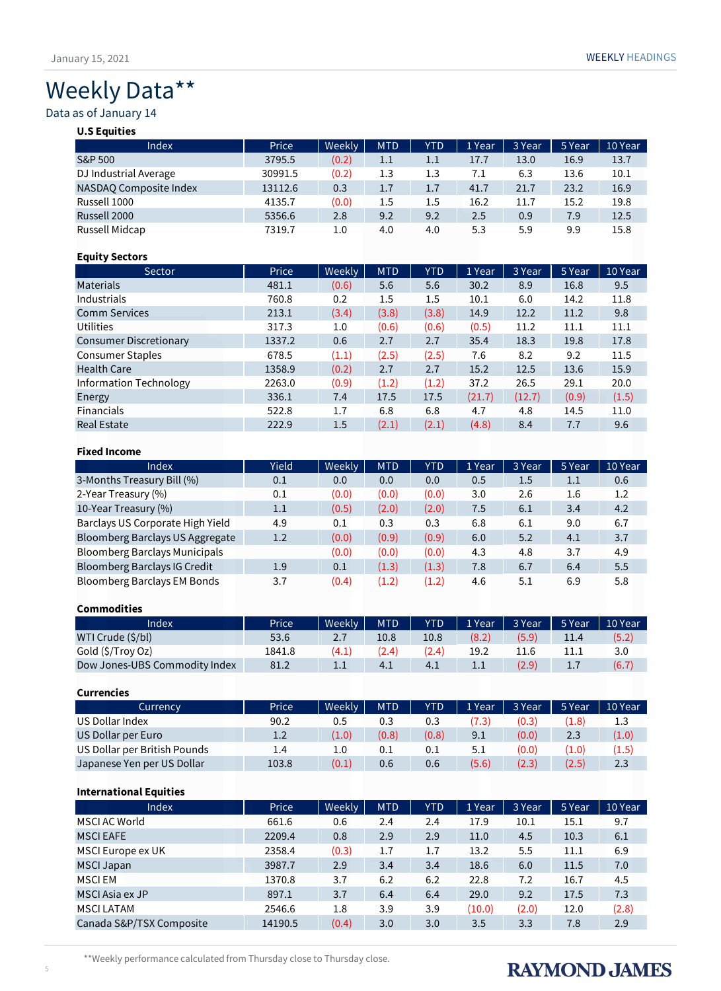# Weekly Data\*\*

### Data as of January 14

### **U.S Equities**

| <b>Index</b>           | Price   | <b>Weekly</b> | <b>MTD</b> | <b>YTD</b> | 1 Year | 3 Year | 5 Year | 10 Year |
|------------------------|---------|---------------|------------|------------|--------|--------|--------|---------|
| S&P 500                | 3795.5  | (0.2)         | $1.1\,$    | 1.1        | 17.7   | 13.0   | 16.9   | 13.7    |
| DJ Industrial Average  | 30991.5 | (0.2)         | 1.3        | 1.3        | 7.1    | 6.3    | 13.6   | 10.1    |
| NASDAO Composite Index | 13112.6 | 0.3           | 1.7        | 1.7        | 41.7   | 21.7   | 23.2   | 16.9    |
| Russell 1000           | 4135.7  | (0.0)         | 1.5        | 1.5        | 16.2   | 11.7   | 15.2   | 19.8    |
| Russell 2000           | 5356.6  | 2.8           | 9.2        | 9.2        | 2.5    | 0.9    | 7.9    | 12.5    |
| Russell Midcap         | 7319.7  | $1.0\,$       | 4.0        | 4.0        | 5.3    | 5.9    | 9.9    | 15.8    |

### **Equity Sectors**

| Sector                        | Price  | Weekly | <b>MTD</b> | <b>YTD</b> | 1 Year | 3 Year | 5 Year | 10 Year |
|-------------------------------|--------|--------|------------|------------|--------|--------|--------|---------|
| <b>Materials</b>              | 481.1  | (0.6)  | 5.6        | 5.6        | 30.2   | 8.9    | 16.8   | 9.5     |
| <b>Industrials</b>            | 760.8  | 0.2    | 1.5        | 1.5        | 10.1   | 6.0    | 14.2   | 11.8    |
| <b>Comm Services</b>          | 213.1  | (3.4)  | (3.8)      | (3.8)      | 14.9   | 12.2   | 11.2   | 9.8     |
| Utilities                     | 317.3  | 1.0    | (0.6)      | (0.6)      | (0.5)  | 11.2   | 11.1   | 11.1    |
| <b>Consumer Discretionary</b> | 1337.2 | 0.6    | 2.7        | 2.7        | 35.4   | 18.3   | 19.8   | 17.8    |
| <b>Consumer Staples</b>       | 678.5  | (1.1)  | (2.5)      | (2.5)      | 7.6    | 8.2    | 9.2    | 11.5    |
| <b>Health Care</b>            | 1358.9 | (0.2)  | 2.7        | 2.7        | 15.2   | 12.5   | 13.6   | 15.9    |
| Information Technology        | 2263.0 | (0.9)  | (1.2)      | (1.2)      | 37.2   | 26.5   | 29.1   | 20.0    |
| Energy                        | 336.1  | 7.4    | 17.5       | 17.5       | (21.7) | (12.7) | (0.9)  | (1.5)   |
| <b>Financials</b>             | 522.8  | 1.7    | 6.8        | 6.8        | 4.7    | 4.8    | 14.5   | 11.0    |
| <b>Real Estate</b>            | 222.9  | 1.5    | (2.1)      | (2.1)      | (4.8)  | 8.4    | 7.7    | 9.6     |

### **Fixed Income**

| Index                                | Yield | Weekly | <b>MTD</b> | <b>YTD</b> | 1 Year | 3 Year | 5 Year  | 10 Year |
|--------------------------------------|-------|--------|------------|------------|--------|--------|---------|---------|
| 3-Months Treasury Bill (%)           | 0.1   | 0.0    | 0.0        | 0.0        | 0.5    | 1.5    | $1.1\,$ | 0.6     |
| 2-Year Treasury (%)                  | 0.1   | (0.0)  | (0.0)      | (0.0)      | 3.0    | 2.6    | 1.6     | 1.2     |
| 10-Year Treasury (%)                 | 1.1   | (0.5)  | (2.0)      | (2.0)      | 7.5    | 6.1    | 3.4     | 4.2     |
| Barclays US Corporate High Yield     | 4.9   | 0.1    | 0.3        | 0.3        | 6.8    | 6.1    | 9.0     | 6.7     |
| Bloomberg Barclays US Aggregate      | 1.2   | (0.0)  | (0.9)      | (0.9)      | 6.0    | 5.2    | 4.1     | 3.7     |
| <b>Bloomberg Barclays Municipals</b> |       | (0.0)  | (0.0)      | (0.0)      | 4.3    | 4.8    | 3.7     | 4.9     |
| Bloomberg Barclays IG Credit         | 1.9   | 0.1    | (1.3)      | (1.3)      | 7.8    | 6.7    | 6.4     | 5.5     |
| Bloomberg Barclays EM Bonds          | 3.7   | (0.4)  | (1.2)      | (1.2)      | 4.6    | 5.1    | 6.9     | 5.8     |

### **Commodities**

| Index                         | Price  | Weekly | <b>MTD</b> | <b>YTD</b> | 1 Year | 3 Year | 5 Year | 10 Year |
|-------------------------------|--------|--------|------------|------------|--------|--------|--------|---------|
| WTI Crude (\$/bl)             | 53.6   | 2.7    | $10.8\,$   | 10.8       | (8.2)  | (5.9)  | 11.4   | (5.2)   |
| Gold (\$/Troy Oz)             | 1841.8 | (4.1)  | (2.4)      | (2.4)      | 19.2   |        |        | 3.0     |
| Dow Jones-UBS Commodity Index | 81.2   | ᆠᆞ     | 4.1        | 4.1        | ⊥.⊥    | (2.9)  | 1.1    | (6.7)   |

### **Currencies**

| Currency                     | Price | Weekly | <b>MTD</b> | <b>YTD</b> | 1 Year | 3 Year | 5 Year | 10 Year |
|------------------------------|-------|--------|------------|------------|--------|--------|--------|---------|
| US Dollar Index              | 90.2  | 0.5    | 0.3        | 0.3        | (7.3)  | (0.3)  | (1.8)  | 1.3     |
| US Dollar per Euro           | 1.2   | (1.0)  | (0.8)      | (0.8)      | 9.1    | (0.0)  | 2.3    | (1.0)   |
| US Dollar per British Pounds | 1.4   | 1.0    | 0.1        | 0.1        | 5.1    | (0.0)  | (1.0)  | (1.5)   |
| Japanese Yen per US Dollar   | 103.8 | (0.1)  | 0.6        | 0.6        | (5.6)  | (2.3)  | (2.5)  | 2.3     |

### **International Equities**

| <b>Index</b>             | Price   | Weekly | <b>MTD</b> | <b>YTD</b> | 1 Year | 3 Year | 5 Year | 10 Year |
|--------------------------|---------|--------|------------|------------|--------|--------|--------|---------|
| MSCI AC World            | 661.6   | 0.6    | 2.4        | 2.4        | 17.9   | 10.1   | 15.1   | 9.7     |
| <b>MSCI EAFE</b>         | 2209.4  | 0.8    | 2.9        | 2.9        | 11.0   | 4.5    | 10.3   | 6.1     |
| MSCI Europe ex UK        | 2358.4  | (0.3)  | 1.7        | 1.7        | 13.2   | 5.5    | 11.1   | 6.9     |
| <b>MSCI Japan</b>        | 3987.7  | 2.9    | 3.4        | 3.4        | 18.6   | 6.0    | 11.5   | 7.0     |
| <b>MSCIEM</b>            | 1370.8  | 3.7    | 6.2        | 6.2        | 22.8   | 7.2    | 16.7   | 4.5     |
| MSCI Asia ex JP          | 897.1   | 3.7    | 6.4        | 6.4        | 29.0   | 9.2    | 17.5   | 7.3     |
| <b>MSCI LATAM</b>        | 2546.6  | 1.8    | 3.9        | 3.9        | (10.0) | (2.0)  | 12.0   | (2.8)   |
| Canada S&P/TSX Composite | 14190.5 | (0.4)  | 3.0        | 3.0        | 3.5    | 3.3    | 7.8    | 2.9     |

### \*\*Weekly performance calculated from Thursday close to Thursday close.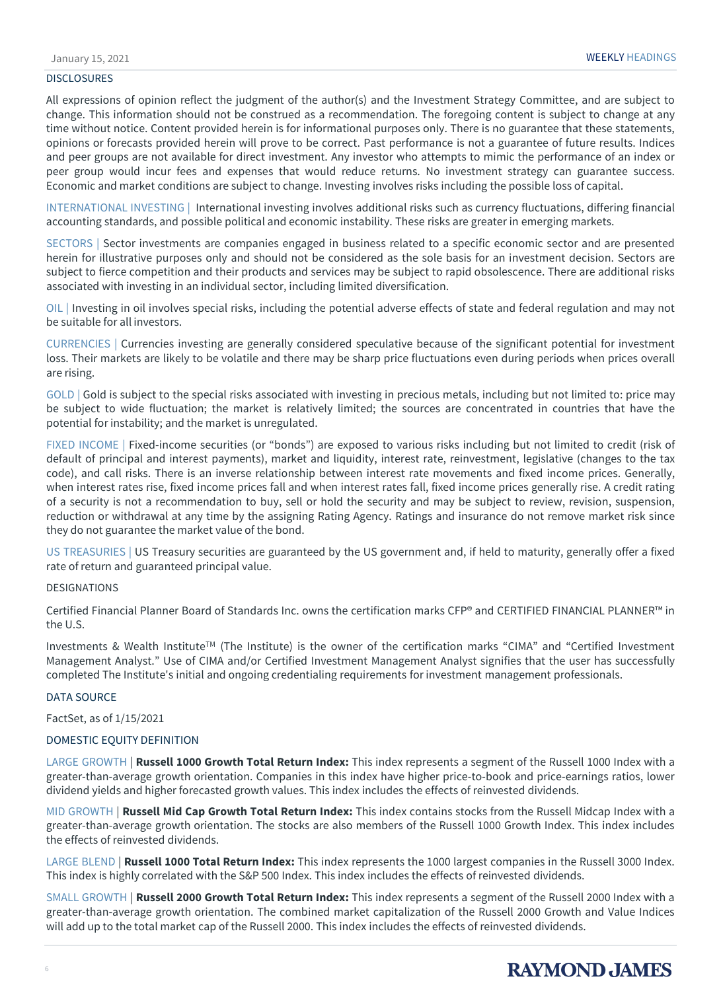### DISCLOSURES

All expressions of opinion reflect the judgment of the author(s) and the Investment Strategy Committee, and are subject to change. This information should not be construed as a recommendation. The foregoing content is subject to change at any time without notice. Content provided herein is for informational purposes only. There is no guarantee that these statements, opinions or forecasts provided herein will prove to be correct. Past performance is not a guarantee of future results. Indices and peer groups are not available for direct investment. Any investor who attempts to mimic the performance of an index or peer group would incur fees and expenses that would reduce returns. No investment strategy can guarantee success. Economic and market conditions are subject to change. Investing involves risks including the possible loss of capital.

INTERNATIONAL INVESTING | International investing involves additional risks such as currency fluctuations, differing financial accounting standards, and possible political and economic instability. These risks are greater in emerging markets.

SECTORS | Sector investments are companies engaged in business related to a specific economic sector and are presented herein for illustrative purposes only and should not be considered as the sole basis for an investment decision. Sectors are subject to fierce competition and their products and services may be subject to rapid obsolescence. There are additional risks associated with investing in an individual sector, including limited diversification.

OIL | Investing in oil involves special risks, including the potential adverse effects of state and federal regulation and may not be suitable for all investors.

CURRENCIES | Currencies investing are generally considered speculative because of the significant potential for investment loss. Their markets are likely to be volatile and there may be sharp price fluctuations even during periods when prices overall are rising.

GOLD | Gold is subject to the special risks associated with investing in precious metals, including but not limited to: price may be subject to wide fluctuation; the market is relatively limited; the sources are concentrated in countries that have the potential for instability; and the market is unregulated.

FIXED INCOME | Fixed-income securities (or "bonds") are exposed to various risks including but not limited to credit (risk of default of principal and interest payments), market and liquidity, interest rate, reinvestment, legislative (changes to the tax code), and call risks. There is an inverse relationship between interest rate movements and fixed income prices. Generally, when interest rates rise, fixed income prices fall and when interest rates fall, fixed income prices generally rise. A credit rating of a security is not a recommendation to buy, sell or hold the security and may be subject to review, revision, suspension, reduction or withdrawal at any time by the assigning Rating Agency. Ratings and insurance do not remove market risk since they do not guarantee the market value of the bond.

US TREASURIES | US Treasury securities are guaranteed by the US government and, if held to maturity, generally offer a fixed rate of return and guaranteed principal value.

### DESIGNATIONS

Certified Financial Planner Board of Standards Inc. owns the certification marks CFP® and CERTIFIED FINANCIAL PLANNER™ in the U.S.

Investments & Wealth InstituteTM (The Institute) is the owner of the certification marks "CIMA" and "Certified Investment Management Analyst." Use of CIMA and/or Certified Investment Management Analyst signifies that the user has successfully completed The Institute's initial and ongoing credentialing requirements for investment management professionals.

### DATA SOURCE

FactSet, as of 1/15/2021

### DOMESTIC EQUITY DEFINITION

LARGE GROWTH | **Russell 1000 Growth Total Return Index:** This index represents a segment of the Russell 1000 Index with a greater-than-average growth orientation. Companies in this index have higher price-to-book and price-earnings ratios, lower dividend yields and higher forecasted growth values. This index includes the effects of reinvested dividends.

MID GROWTH | **Russell Mid Cap Growth Total Return Index:** This index contains stocks from the Russell Midcap Index with a greater-than-average growth orientation. The stocks are also members of the Russell 1000 Growth Index. This index includes the effects of reinvested dividends.

LARGE BLEND | **Russell 1000 Total Return Index:** This index represents the 1000 largest companies in the Russell 3000 Index. This index is highly correlated with the S&P 500 Index. This index includes the effects of reinvested dividends.

SMALL GROWTH | **Russell 2000 Growth Total Return Index:** This index represents a segment of the Russell 2000 Index with a greater-than-average growth orientation. The combined market capitalization of the Russell 2000 Growth and Value Indices will add up to the total market cap of the Russell 2000. This index includes the effects of reinvested dividends.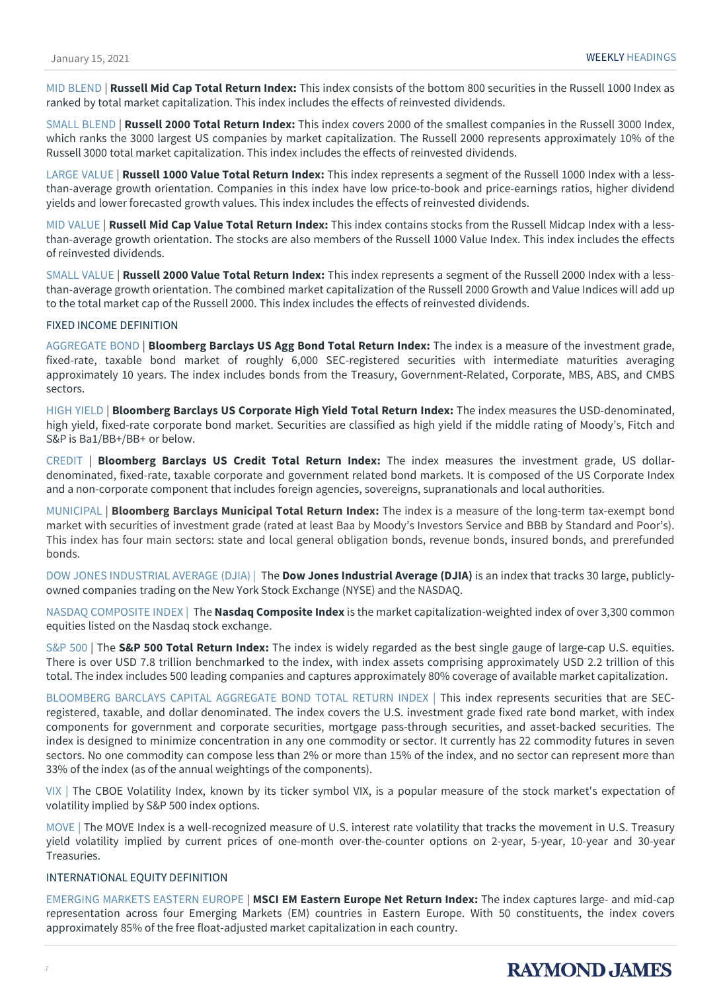MID BLEND | **Russell Mid Cap Total Return Index:** This index consists of the bottom 800 securities in the Russell 1000 Index as ranked by total market capitalization. This index includes the effects of reinvested dividends.

SMALL BLEND | **Russell 2000 Total Return Index:** This index covers 2000 of the smallest companies in the Russell 3000 Index, which ranks the 3000 largest US companies by market capitalization. The Russell 2000 represents approximately 10% of the Russell 3000 total market capitalization. This index includes the effects of reinvested dividends.

LARGE VALUE | **Russell 1000 Value Total Return Index:** This index represents a segment of the Russell 1000 Index with a lessthan-average growth orientation. Companies in this index have low price-to-book and price-earnings ratios, higher dividend yields and lower forecasted growth values. This index includes the effects of reinvested dividends.

MID VALUE | **Russell Mid Cap Value Total Return Index:** This index contains stocks from the Russell Midcap Index with a lessthan-average growth orientation. The stocks are also members of the Russell 1000 Value Index. This index includes the effects of reinvested dividends.

SMALL VALUE | **Russell 2000 Value Total Return Index:** This index represents a segment of the Russell 2000 Index with a lessthan-average growth orientation. The combined market capitalization of the Russell 2000 Growth and Value Indices will add up to the total market cap of the Russell 2000. This index includes the effects of reinvested dividends.

### FIXED INCOME DEFINITION

AGGREGATE BOND | **Bloomberg Barclays US Agg Bond Total Return Index:** The index is a measure of the investment grade, fixed-rate, taxable bond market of roughly 6,000 SEC-registered securities with intermediate maturities averaging approximately 10 years. The index includes bonds from the Treasury, Government-Related, Corporate, MBS, ABS, and CMBS sectors.

HIGH YIELD | **Bloomberg Barclays US Corporate High Yield Total Return Index:** The index measures the USD-denominated, high yield, fixed-rate corporate bond market. Securities are classified as high yield if the middle rating of Moody's, Fitch and S&P is Ba1/BB+/BB+ or below.

CREDIT | **Bloomberg Barclays US Credit Total Return Index:** The index measures the investment grade, US dollardenominated, fixed-rate, taxable corporate and government related bond markets. It is composed of the US Corporate Index and a non-corporate component that includes foreign agencies, sovereigns, supranationals and local authorities.

MUNICIPAL | **Bloomberg Barclays Municipal Total Return Index:** The index is a measure of the long-term tax-exempt bond market with securities of investment grade (rated at least Baa by Moody's Investors Service and BBB by Standard and Poor's). This index has four main sectors: state and local general obligation bonds, revenue bonds, insured bonds, and prerefunded bonds.

DOW JONES INDUSTRIAL AVERAGE (DJIA) | The **Dow Jones Industrial Average (DJIA)** is an index that tracks 30 large, publiclyowned companies trading on the New York Stock Exchange (NYSE) and the NASDAQ.

NASDAQ COMPOSITE INDEX | The **Nasdaq Composite Index** is the market capitalization-weighted index of over 3,300 common equities listed on the Nasdaq stock exchange.

S&P 500 | The **S&P 500 Total Return Index:** The index is widely regarded as the best single gauge of large-cap U.S. equities. There is over USD 7.8 trillion benchmarked to the index, with index assets comprising approximately USD 2.2 trillion of this total. The index includes 500 leading companies and captures approximately 80% coverage of available market capitalization.

BLOOMBERG BARCLAYS CAPITAL AGGREGATE BOND TOTAL RETURN INDEX | This index represents securities that are SECregistered, taxable, and dollar denominated. The index covers the U.S. investment grade fixed rate bond market, with index components for government and corporate securities, mortgage pass-through securities, and asset-backed securities. The index is designed to minimize concentration in any one commodity or sector. It currently has 22 commodity futures in seven sectors. No one commodity can compose less than 2% or more than 15% of the index, and no sector can represent more than 33% of the index (as of the annual weightings of the components).

VIX | The CBOE Volatility Index, known by its ticker symbol VIX, is a popular measure of the stock market's expectation of volatility implied by S&P 500 index options.

MOVE | The MOVE Index is a well-recognized measure of U.S. interest rate volatility that tracks the movement in U.S. Treasury yield volatility implied by current prices of one-month over-the-counter options on 2-year, 5-year, 10-year and 30-year Treasuries.

### INTERNATIONAL EQUITY DEFINITION

EMERGING MARKETS EASTERN EUROPE | **MSCI EM Eastern Europe Net Return Index:** The index captures large- and mid-cap representation across four Emerging Markets (EM) countries in Eastern Europe. With 50 constituents, the index covers approximately 85% of the free float-adjusted market capitalization in each country.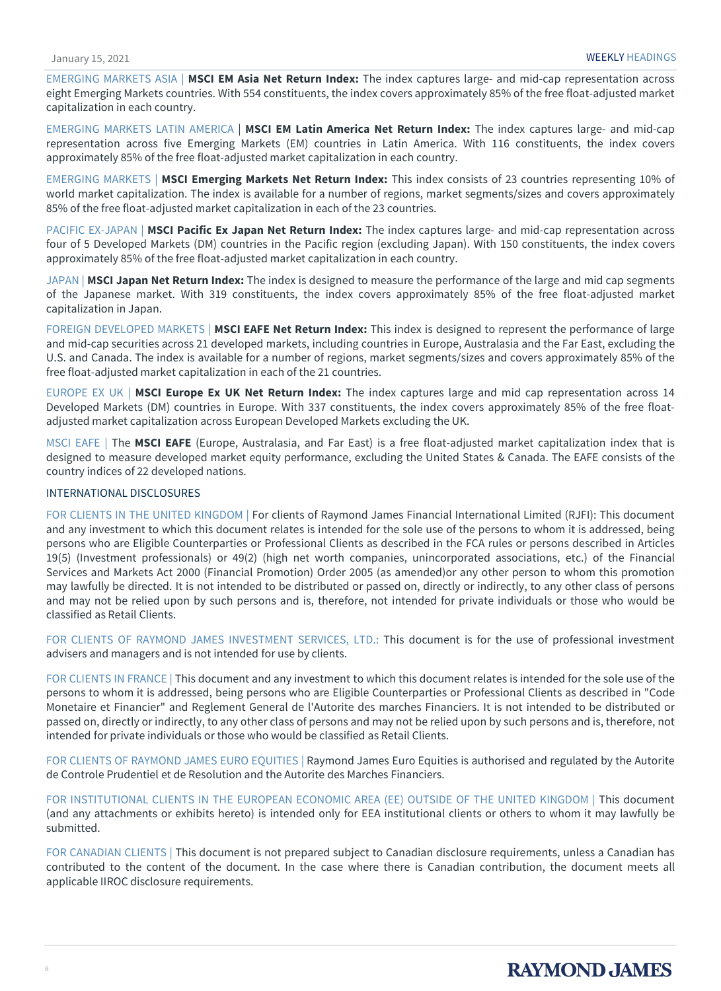EMERGING MARKETS ASIA | **MSCI EM Asia Net Return Index:** The index captures large- and mid-cap representation across eight Emerging Markets countries. With 554 constituents, the index covers approximately 85% of the free float-adjusted market capitalization in each country.

EMERGING MARKETS LATIN AMERICA | **MSCI EM Latin America Net Return Index:** The index captures large- and mid-cap representation across five Emerging Markets (EM) countries in Latin America. With 116 constituents, the index covers approximately 85% of the free float-adjusted market capitalization in each country.

EMERGING MARKETS | **MSCI Emerging Markets Net Return Index:** This index consists of 23 countries representing 10% of world market capitalization. The index is available for a number of regions, market segments/sizes and covers approximately 85% of the free float-adjusted market capitalization in each of the 23 countries.

PACIFIC EX-JAPAN | **MSCI Pacific Ex Japan Net Return Index:** The index captures large- and mid-cap representation across four of 5 Developed Markets (DM) countries in the Pacific region (excluding Japan). With 150 constituents, the index covers approximately 85% of the free float-adjusted market capitalization in each country.

JAPAN | **MSCI Japan Net Return Index:** The index is designed to measure the performance of the large and mid cap segments of the Japanese market. With 319 constituents, the index covers approximately 85% of the free float-adjusted market capitalization in Japan.

FOREIGN DEVELOPED MARKETS | **MSCI EAFE Net Return Index:** This index is designed to represent the performance of large and mid-cap securities across 21 developed markets, including countries in Europe, Australasia and the Far East, excluding the U.S. and Canada. The index is available for a number of regions, market segments/sizes and covers approximately 85% of the free float-adjusted market capitalization in each of the 21 countries.

EUROPE EX UK | **MSCI Europe Ex UK Net Return Index:** The index captures large and mid cap representation across 14 Developed Markets (DM) countries in Europe. With 337 constituents, the index covers approximately 85% of the free floatadjusted market capitalization across European Developed Markets excluding the UK.

MSCI EAFE | The **MSCI EAFE** (Europe, Australasia, and Far East) is a free float-adjusted market capitalization index that is designed to measure developed market equity performance, excluding the United States & Canada. The EAFE consists of the country indices of 22 developed nations.

### INTERNATIONAL DISCLOSURES

FOR CLIENTS IN THE UNITED KINGDOM | For clients of Raymond James Financial International Limited (RJFI): This document and any investment to which this document relates is intended for the sole use of the persons to whom it is addressed, being persons who are Eligible Counterparties or Professional Clients as described in the FCA rules or persons described in Articles 19(5) (Investment professionals) or 49(2) (high net worth companies, unincorporated associations, etc.) of the Financial Services and Markets Act 2000 (Financial Promotion) Order 2005 (as amended)or any other person to whom this promotion may lawfully be directed. It is not intended to be distributed or passed on, directly or indirectly, to any other class of persons and may not be relied upon by such persons and is, therefore, not intended for private individuals or those who would be classified as Retail Clients.

FOR CLIENTS OF RAYMOND JAMES INVESTMENT SERVICES, LTD.: This document is for the use of professional investment advisers and managers and is not intended for use by clients.

FOR CLIENTS IN FRANCE | This document and any investment to which this document relates is intended for the sole use of the persons to whom it is addressed, being persons who are Eligible Counterparties or Professional Clients as described in "Code Monetaire et Financier" and Reglement General de l'Autorite des marches Financiers. It is not intended to be distributed or passed on, directly or indirectly, to any other class of persons and may not be relied upon by such persons and is, therefore, not intended for private individuals or those who would be classified as Retail Clients.

FOR CLIENTS OF RAYMOND JAMES EURO EQUITIES | Raymond James Euro Equities is authorised and regulated by the Autorite de Controle Prudentiel et de Resolution and the Autorite des Marches Financiers.

FOR INSTITUTIONAL CLIENTS IN THE EUROPEAN ECONOMIC AREA (EE) OUTSIDE OF THE UNITED KINGDOM | This document (and any attachments or exhibits hereto) is intended only for EEA institutional clients or others to whom it may lawfully be submitted.

FOR CANADIAN CLIENTS | This document is not prepared subject to Canadian disclosure requirements, unless a Canadian has contributed to the content of the document. In the case where there is Canadian contribution, the document meets all applicable IIROC disclosure requirements.